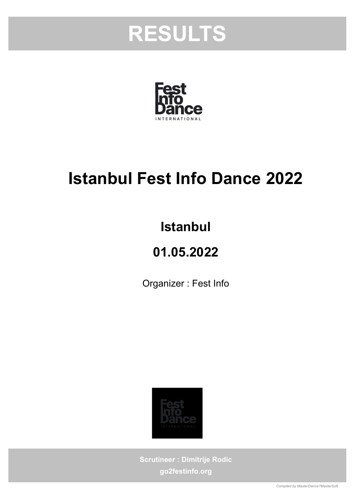



## Istanbul Fest Info Dance 2022

## Istanbul

## 01.05.2022

Organizer : Fest Info



Scrutineer : Dimitrije Rodic go2festinfo.org

Compiled by MasterDance?MasterSoft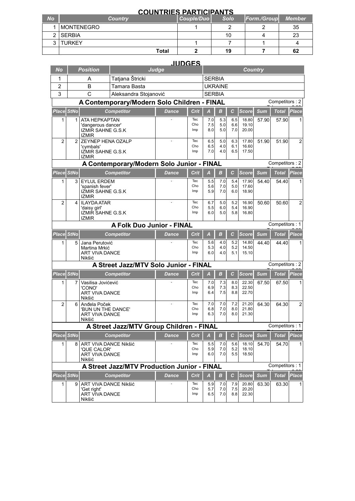|           | <b>COUNTRIES PARTICIPANTS</b> |            |             |                    |               |  |  |  |  |  |  |
|-----------|-------------------------------|------------|-------------|--------------------|---------------|--|--|--|--|--|--|
| <b>No</b> | <b>Country</b>                | Couple/Duo | <b>Solo</b> | <b>Form./Group</b> | <b>Member</b> |  |  |  |  |  |  |
|           | <b>MONTENEGRO</b>             |            |             |                    | 35            |  |  |  |  |  |  |
|           | <b>SERBIA</b>                 |            | 10          |                    | 23            |  |  |  |  |  |  |
|           | <b>TURKEY</b>                 |            |             |                    |               |  |  |  |  |  |  |
|           | <b>Total</b>                  |            | 19          |                    | 62            |  |  |  |  |  |  |

| <b>JUDGES</b>                                                 |                |                                                |                                             |              |             |                |                  |             |                |            |                |                |  |  |  |
|---------------------------------------------------------------|----------------|------------------------------------------------|---------------------------------------------|--------------|-------------|----------------|------------------|-------------|----------------|------------|----------------|----------------|--|--|--|
| No                                                            |                | <b>Position</b>                                | Judge                                       |              |             |                | <b>Country</b>   |             |                |            |                |                |  |  |  |
| 1                                                             |                | A                                              | Tatjana Štricki                             |              |             |                | <b>SERBIA</b>    |             |                |            |                |                |  |  |  |
| 2                                                             |                | B                                              | Tamara Basta                                |              |             |                | <b>UKRAINE</b>   |             |                |            |                |                |  |  |  |
| 3                                                             |                | $\overline{C}$                                 | Aleksandra Stojanović                       |              |             |                | <b>SERBIA</b>    |             |                |            |                |                |  |  |  |
| Competitors: 2<br>A Contemporary/Modern Solo Children - FINAL |                |                                                |                                             |              |             |                |                  |             |                |            |                |                |  |  |  |
| Place StNo                                                    |                |                                                | <b>Competitor</b>                           | <b>Dance</b> | Crit        | $\overline{A}$ | $\boldsymbol{B}$ | $\mathbf c$ | <b>Score</b>   | Sum        | Total          | <b>Place</b>   |  |  |  |
| 1                                                             | 1              | ATA HEPKAPTAN                                  |                                             |              | Tec         | 7.0            | 5.3              | 6.5         | 18.80          | 57.90      | 57.90          | 1              |  |  |  |
|                                                               |                | 'dangerous dancer'<br><b>IZMIR SAHNE G.S.K</b> |                                             |              | Cho<br>Imp  | 7.5<br>8.0     | 5.0<br>5.0       | 6.6<br>7.0  | 19.10<br>20.00 |            |                |                |  |  |  |
|                                                               |                | <b>IZMIR</b>                                   |                                             |              |             |                |                  |             |                |            |                |                |  |  |  |
| $\overline{2}$                                                | $\overline{2}$ | ZEYNEP HENA OZALP<br>'cymbals'                 |                                             |              | Tec<br>Cho  | 6.5<br>6.5     | 5.0<br>4.0       | 6.3<br>6.1  | 17.80<br>16.60 | 51.90      | 51.90          | $\overline{2}$ |  |  |  |
|                                                               |                | IZMIR SAHNE G.S.K                              |                                             |              | Imp         | 7.0            | 4.0              | 6.5         | 17.50          |            |                |                |  |  |  |
|                                                               |                | <b>IZMIR</b>                                   | A Contemporary/Modern Solo Junior - FINAL   |              |             |                |                  |             |                |            | Competitors: 2 |                |  |  |  |
| Place StNo                                                    |                |                                                | <b>Competitor</b>                           | <b>Dance</b> | Crit        | $\overline{A}$ | B                | C           | <b>Score</b>   | <b>Sum</b> | <b>Total</b>   | Place          |  |  |  |
| 1                                                             | 3              | <b>EYLUL ERDEM</b>                             |                                             |              | Tec         | 5.5            | 7.0              | 5.4         | 17.90          | 54.40      | 54.40          | 1              |  |  |  |
|                                                               |                | 'spanish fever'                                |                                             |              | Cho         | 5.6            | 7.0              | 5.0         | 17.60          |            |                |                |  |  |  |
|                                                               |                | <b>IZMIR SAHNE G.S.K</b><br><b>IZMIR</b>       |                                             |              | Imp         | 5.9            | 7.0              | 6.0         | 18.90          |            |                |                |  |  |  |
| $\overline{2}$                                                | 4              | <b>ILAYDA ATAR</b>                             |                                             | ä,           | Tec         | 6.7            | 5.0              | 5.2         | 16.90          | 50.60      | 50.60          | $\overline{2}$ |  |  |  |
|                                                               |                | 'daisy girl'<br><b>IZMIR SAHNE G.S.K</b>       |                                             |              | Cho<br>Imp  | 5.5<br>6.0     | 6.0<br>5.0       | 5.4<br>5.8  | 16.90<br>16.80 |            |                |                |  |  |  |
|                                                               |                | <b>IZMIR</b>                                   |                                             |              |             |                |                  |             |                |            |                |                |  |  |  |
|                                                               |                |                                                | <b>A Folk Duo Junior - FINAL</b>            |              |             |                |                  |             |                |            | Competitors: 1 |                |  |  |  |
| Place StNo                                                    |                |                                                | <b>Competitor</b>                           | <b>Dance</b> | <b>Crit</b> | $\overline{A}$ | $\boldsymbol{B}$ | С           | <b>Score</b>   | <b>Sum</b> | <b>Total</b>   | Place          |  |  |  |
| 1                                                             | 5              | Jana Perutović<br>Martina Mrkić                |                                             |              | Tec<br>Cho  | 5.6<br>5.3     | 4.0<br>4.0       | 5.2<br>5.2  | 14.80<br>14.50 | 44.40      | 44.40          |                |  |  |  |
|                                                               |                | ART VIVA DANCE                                 |                                             |              | Imp         | 6.0            | 4.0              | 5.1         | 15.10          |            |                |                |  |  |  |
|                                                               |                | Nikšić                                         | A Street Jazz/MTV Solo Junior - FINAL       |              |             |                |                  |             |                |            | Competitors: 2 |                |  |  |  |
|                                                               |                |                                                |                                             |              |             |                |                  |             |                |            |                |                |  |  |  |
| Place StNo                                                    |                |                                                | <b>Competitor</b>                           | Dance        | Crit        | А              | $\boldsymbol{B}$ | $\mathbf c$ | <b>Score</b>   | <b>Sum</b> | Total          | <b>Place</b>   |  |  |  |
| 1                                                             | 7              | Vasilisa Jovićević<br>'CONO'                   |                                             |              | Tec<br>Cho  | 7.0<br>6.9     | 7.3<br>7.3       | 8.0<br>8.3  | 22.30<br>22.50 | 67.50      | 67.50          |                |  |  |  |
|                                                               |                | ART VIVA DANCE<br>Nikšić                       |                                             |              | Imp         | 6.4            | 7.5              | 8.8         | 22.70          |            |                |                |  |  |  |
| $\overline{2}$                                                | 6              | Anđela Poček                                   |                                             |              | Tec         | 7.0            | 7.0              | 7.2         | 21.20          | 64.30      | 64.30          | 2              |  |  |  |
|                                                               |                | 'BUN UN THE DANCE'                             |                                             |              | Cho<br>Imp  | 6.8<br>6.3     | 7.0<br>7.0       | 8.0<br>8.0  | 21.80<br>21.30 |            |                |                |  |  |  |
|                                                               |                | ART VIVA DANCE<br>Nikšić                       |                                             |              |             |                |                  |             |                |            |                |                |  |  |  |
|                                                               |                |                                                | A Street Jazz/MTV Group Children - FINAL    |              |             |                |                  |             |                |            | Competitors: 1 |                |  |  |  |
| <b>Place StNo</b>                                             |                |                                                | <b>Competitor</b>                           | <b>Dance</b> | Crit        | $\overline{A}$ | $\boldsymbol{B}$ | C           | <b>Score</b>   | <b>Sum</b> | <b>Total</b>   | Place          |  |  |  |
| 1                                                             | 8              | ART VIVA DANCE Nikšić                          |                                             |              | Tec         | 5.5            | 7.0              | 5.6         | 18.10          | 54.70      | 54.70          |                |  |  |  |
|                                                               |                | 'OUE CALOR'<br>ART VIVA DANCE                  |                                             |              | Cho<br>Imp  | 5.9<br>6.0     | 7.0<br>7.0       | 5.2<br>5.5  | 18.10<br>18.50 |            |                |                |  |  |  |
|                                                               |                | Nikšić                                         |                                             |              |             |                |                  |             |                |            |                |                |  |  |  |
|                                                               |                |                                                | A Street Jazz/MTV Production Junior - FINAL |              |             |                |                  |             |                |            | Competitors: 1 |                |  |  |  |
| Place StNo                                                    |                |                                                | <b>Competitor</b>                           | <b>Dance</b> | Crit        | $\overline{A}$ | $\boldsymbol{B}$ | С           | Score          | <b>Sum</b> | <b>Total</b>   | Place          |  |  |  |
| 1                                                             | 9              | ART VIVA DANCE Nikšić<br>'Get right'           |                                             |              | Tec<br>Cho  | 5.9<br>5.7     | 7.0<br>7.0       | 7.9<br>7.5  | 20.80<br>20.20 | 63.30      | 63.30          | 1              |  |  |  |
|                                                               |                | ART VIVA DANCE                                 |                                             |              | Imp         | 6.5            | 7.0              | 8.8         | 22.30          |            |                |                |  |  |  |

Nikšić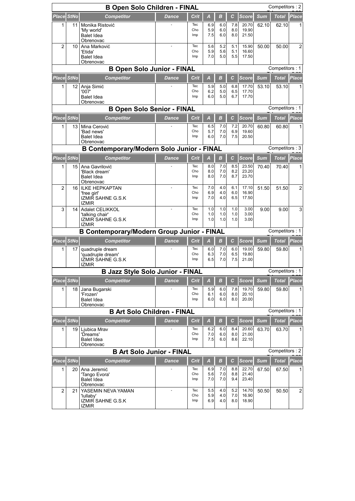| Competitors: 2<br><b>B Open Solo Children - FINAL</b> |                                                     |                                                                                  |              |                    |                   |                                |                   |                                |                     |                       |                   |  |
|-------------------------------------------------------|-----------------------------------------------------|----------------------------------------------------------------------------------|--------------|--------------------|-------------------|--------------------------------|-------------------|--------------------------------|---------------------|-----------------------|-------------------|--|
| Place StNo                                            |                                                     | <b>Competitor</b>                                                                | <b>Dance</b> | Crit               | A                 | B                              | С                 | <b>Score</b>                   | <b>Sum</b>          | <b>Total</b>          | <b>Place</b>      |  |
| 1                                                     | 11                                                  | Monika Ristović<br>'My world'<br>Balet Idea<br>Obrenovac                         |              | Tec<br>Cho<br>Imp  | 6.9<br>5.9<br>7.5 | 6.0<br>6.0<br>6.0              | 7.8<br>8.0<br>8.0 | 20.70<br>19.90<br>21.50        | 62.10               | 62.10                 | 1                 |  |
| $\overline{2}$                                        | 10                                                  | Ana Marković<br>'Etida'<br><b>Balet Idea</b><br>Obrenovac                        | ÷,           | Tec<br>Cho<br>Imp  | 5.6<br>5.9<br>7.0 | 5.2<br>5.6<br>5.0              | 5.1<br>5.1<br>5.5 | 15.90<br>16.60<br>17.50        | 50.00               | 50.00                 | $\overline{2}$    |  |
|                                                       | <b>B Open Solo Junior - FINAL</b><br>Competitors: 1 |                                                                                  |              |                    |                   |                                |                   |                                |                     |                       |                   |  |
| Place StNo                                            |                                                     | <b>Competitor</b>                                                                | <b>Dance</b> | <b>Crit</b>        | $\overline{A}$    | В                              | с                 | <b>Score</b>                   | <b>Sum</b>          | <b>Total</b>          | Place             |  |
| 1                                                     | 12                                                  | Anja Simić<br>'007'<br><b>Balet Idea</b><br>Obrenovac                            |              | Tec<br>Cho<br>Imp  | 5.9<br>6.2<br>6.0 | 5.0<br>5.0<br>5.0              | 6.8<br>6.5<br>6.7 | 17.70<br>17.70<br>17.70        | 53.10               | 53.10                 |                   |  |
|                                                       |                                                     | <b>B Open Solo Senior - FINAL</b>                                                |              |                    |                   |                                |                   |                                |                     | Competitors: 1        |                   |  |
| Place StNo                                            |                                                     | <b>Competitor</b>                                                                | <b>Dance</b> | Crit               | A                 | $\boldsymbol{B}$               | с                 | <b>Score</b>                   | <b>Sum</b>          | <b>Total</b>          | Place             |  |
| 1                                                     | 13                                                  | Mina Cerović<br>'Bad news'<br>Balet Idea<br>Obrenovac                            |              | Tec<br>Cho<br>Imp  | 6.5<br>5.7<br>6.0 | 7.0<br>7.0<br>7.0              | 7.2<br>6.9<br>7.5 | 20.70<br>19.60<br>20.50        | 60.80               | 60.80                 |                   |  |
|                                                       |                                                     | <b>B Contemporary/Modern Solo Junior - FINAL</b>                                 |              |                    |                   |                                |                   |                                |                     | Competitors: 3        |                   |  |
| Place StNo                                            |                                                     | <b>Competitor</b>                                                                | <b>Dance</b> | Crit               | A                 | $\boldsymbol{B}$               | $\mathbf{C}$      | <b>Score</b>                   | <b>Sum</b>          | <b>Total</b>          | Place             |  |
| 1                                                     | 15                                                  | Ana Gavrilović<br>'Black dream'<br><b>Balet Idea</b><br>Obrenovac                |              | Tec<br>Cho<br>Imp  | 8.0<br>8.0<br>8.0 | 7.0<br>7.0<br>7.0              | 8.5<br>8.2<br>8.7 | 23.50<br>23.20<br>23.70        | 70.40               | 70.40                 |                   |  |
| $\overline{2}$                                        | 16                                                  | <b>ILKE HEPKAPTAN</b><br>'free girl'<br><b>IZMIR SAHNE G.S.K</b><br><b>IZMIR</b> |              | Tec<br>Cho<br>Imp  | 7.0<br>6.9<br>7.0 | 4.0<br>4.0<br>4.0              | 6.1<br>6.0<br>6.5 | 17.10<br>16.90<br>17.50        | 51.50               | 51.50                 | 2                 |  |
| 3                                                     | 14                                                  | Adalet CELIKKOL<br>'talking chair'<br><b>IZMIR SAHNE G.S.K</b><br><b>IZMIR</b>   |              | Tec<br>Cho<br>Imp  | 1.0<br>1.0<br>1.0 | 1.0<br>1.0<br>1.0              | 1.0<br>1.0<br>1.0 | 3.00<br>3.00<br>3.00           | 9.00                | 9.00                  | 3                 |  |
|                                                       |                                                     | <b>B Contemporary/Modern Group Junior - FINAL</b>                                |              |                    |                   |                                |                   |                                |                     | Competitors: 1        |                   |  |
| Place StNo                                            |                                                     | <b>Competitor</b>                                                                | Dance        | <b>Crit</b>        | A                 | $\boldsymbol{B}$               | с                 | <b>Score</b>                   | <b>Sum</b>          | Total                 | <b>Place</b>      |  |
| 1                                                     | 17                                                  | quadruple dream<br>'quadruple dream'<br><b>IZMIR SAHNE G.S.K</b><br><b>IZMIR</b> |              | Tec<br>Cho<br>Imp  | 6.0<br>6.3<br>6.5 | 7.0<br>7.0<br>7.0              | 6.0<br>6.5<br>7.5 | 19.00<br>19.80<br>21.00        | 59.80               | 59.80                 |                   |  |
|                                                       |                                                     | <b>B Jazz Style Solo Junior - FINAL</b>                                          |              |                    |                   |                                |                   |                                |                     | Competitors: 1        |                   |  |
| Place StNo                                            |                                                     | <b>Competitor</b>                                                                | <b>Dance</b> | Crit               | А                 | B                              | C                 | <b>Score</b>                   | <b>Sum</b>          | <b>Total</b>          | Place             |  |
| 1                                                     | 18                                                  | Jana Bugarski<br>'Frozen'<br><b>Balet Idea</b><br>Obrenovac                      |              | Tec<br>Cho<br>Imp  | 5.9<br>6.1<br>6.0 | 6.0<br>6.0<br>6.0              | 7.8<br>8.0<br>8.0 | 19.70<br>20.10<br>20.00        | 59.80               | 59.80                 | 1                 |  |
|                                                       |                                                     | <b>B Art Solo Children - FINAL</b>                                               |              |                    |                   |                                |                   |                                |                     | Competitors: 1        |                   |  |
|                                                       | Place StNo                                          | Competitor                                                                       | <b>Dance</b> | <b>Crit</b>        | A                 | в                              | с                 | <b>Score</b>                   | <b>Sum</b>          | <b>Total</b>          | <b>Place</b>      |  |
| 1                                                     | 19                                                  | Liubica Mrav<br>'Dreams'<br><b>Balet Idea</b><br>Obrenovac                       |              | Tec<br>Cho<br>Imp  | 6.2<br>7.0<br>7.5 | 6.0<br>6.0<br>6.0              | 8.4<br>8.0<br>8.6 | 20.60<br>21.00<br>22.10        | 63.70               | 63.70                 | 1                 |  |
|                                                       |                                                     | <b>B Art Solo Junior - FINAL</b>                                                 |              |                    |                   |                                |                   |                                |                     | Competitors: 2        |                   |  |
| Place StNo<br>1                                       | 20                                                  | <b>Competitor</b><br>Ana Jeremić<br>'Tango Evora'                                | <b>Dance</b> | Crit<br>Tec<br>Cho | A<br>6.9<br>5.6   | $\boldsymbol{B}$<br>7.0<br>7.0 | С<br>8.8<br>8.8   | <b>Score</b><br>22.70<br>21.40 | <b>Sum</b><br>67.50 | <b>Total</b><br>67.50 | <b>Place</b><br>1 |  |
| $\overline{c}$                                        | 21                                                  | <b>Balet Idea</b><br>Obrenovac<br>YASEMIN NEVA YAMAN                             |              | Imp<br>Tec         | 7.0<br>5.5        | 7.0<br>4.0                     | 9.4<br>5.2        | 23.40<br>14.70                 | 50.50               | 50.50                 | $\overline{2}$    |  |
|                                                       |                                                     | 'lullaby'<br><b>IZMIR SAHNE G.S.K</b><br><b>IZMIR</b>                            |              | Cho<br>Imp         | 5.9<br>6.9        | 4.0<br>4.0                     | 7.0<br>8.0        | 16.90<br>18.90                 |                     |                       |                   |  |